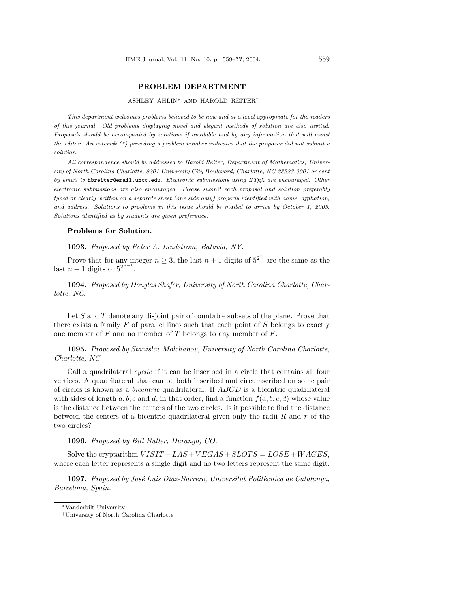## PROBLEM DEPARTMENT

## ASHLEY AHLIN<sup>∗</sup> AND HAROLD REITER†

This department welcomes problems believed to be new and at a level appropriate for the readers of this journal. Old problems displaying novel and elegant methods of solution are also invited. Proposals should be accompanied by solutions if available and by any information that will assist the editor. An asterisk  $(*)$  preceding a problem number indicates that the proposer did not submit a solution.

All correspondence should be addressed to Harold Reiter, Department of Mathematics, University of North Carolina Charlotte, 9201 University City Boulevard, Charlotte, NC 28223-0001 or sent by email to hbreiter@email.uncc.edu. Electronic submissions using LATEX are encouraged. Other electronic submissions are also encouraged. Please submit each proposal and solution preferably typed or clearly written on a separate sheet (one side only) properly identified with name, affiliation, and address. Solutions to problems in this issue should be mailed to arrive by October 1, 2005. Solutions identified as by students are given preference.

## Problems for Solution.

1093. Proposed by Peter A. Lindstrom, Batavia, NY.

Prove that for any integer  $n \geq 3$ , the last  $n+1$  digits of  $5^{2^n}$  are the same as the last  $n+1$  digits of  $5^{2^{n-1}}$ .

1094. Proposed by Douglas Shafer, University of North Carolina Charlotte, Charlotte, NC.

Let  $S$  and  $T$  denote any disjoint pair of countable subsets of the plane. Prove that there exists a family  $F$  of parallel lines such that each point of  $S$  belongs to exactly one member of  $F$  and no member of  $T$  belongs to any member of  $F$ .

1095. Proposed by Stanislav Molchanov, University of North Carolina Charlotte, Charlotte, NC.

Call a quadrilateral *cyclic* if it can be inscribed in a circle that contains all four vertices. A quadrilateral that can be both inscribed and circumscribed on some pair of circles is known as a bicentric quadrilateral. If ABCD is a bicentric quadrilateral with sides of length a, b, c and d, in that order, find a function  $f(a, b, c, d)$  whose value is the distance between the centers of the two circles. Is it possible to find the distance between the centers of a bicentric quadrilateral given only the radii  $R$  and  $r$  of the two circles?

## 1096. Proposed by Bill Butler, Durango, CO.

Solve the cryptarithm  $VISIT+LAS+VEGAS+SLOTS = LOSE+WAGES,$ where each letter represents a single digit and no two letters represent the same digit.

1097. Proposed by José Luis Díaz-Barrero, Universitat Politècnica de Catalunya, Barcelona, Spain.

<sup>∗</sup>Vanderbilt University

<sup>†</sup>University of North Carolina Charlotte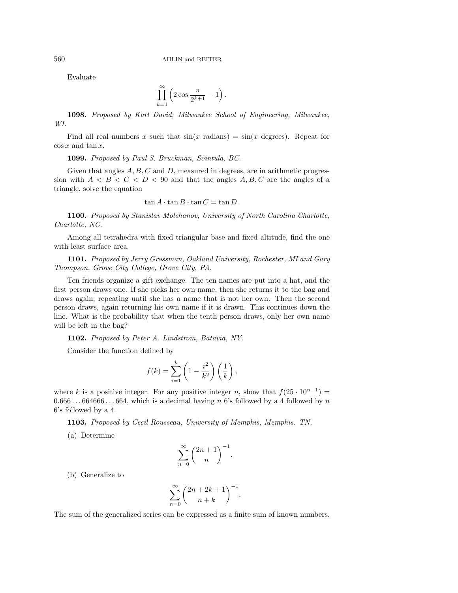Evaluate

$$
\prod_{k=1}^{\infty} \left( 2 \cos \frac{\pi}{2^{k+1}} - 1 \right).
$$

1098. Proposed by Karl David, Milwaukee School of Engineering, Milwaukee, WI.

Find all real numbers x such that  $sin(x \text{ radians}) = sin(x \text{ degrees})$ . Repeat for  $\cos x$  and  $\tan x$ .

1099. Proposed by Paul S. Bruckman, Sointula, BC.

Given that angles  $A, B, C$  and  $D$ , measured in degrees, are in arithmetic progression with  $A \leq B \leq C \leq D \leq 90$  and that the angles  $A, B, C$  are the angles of a triangle, solve the equation

 $\tan A \cdot \tan B \cdot \tan C = \tan D.$ 

1100. Proposed by Stanislav Molchanov, University of North Carolina Charlotte, Charlotte, NC.

Among all tetrahedra with fixed triangular base and fixed altitude, find the one with least surface area.

1101. Proposed by Jerry Grossman, Oakland University, Rochester, MI and Gary Thompson, Grove City College, Grove City, PA.

Ten friends organize a gift exchange. The ten names are put into a hat, and the first person draws one. If she picks her own name, then she returns it to the bag and draws again, repeating until she has a name that is not her own. Then the second person draws, again returning his own name if it is drawn. This continues down the line. What is the probability that when the tenth person draws, only her own name will be left in the bag?

1102. Proposed by Peter A. Lindstrom, Batavia, NY.

Consider the function defined by

$$
f(k) = \sum_{i=1}^{k} \left( 1 - \frac{i^2}{k^2} \right) \left( \frac{1}{k} \right),
$$

where k is a positive integer. For any positive integer n, show that  $f(25 \cdot 10^{n-1}) =$  $0.666...664666...664$ , which is a decimal having n 6's followed by a 4 followed by n 6's followed by a 4.

1103. Proposed by Cecil Rousseau, University of Memphis, Memphis. TN.

(a) Determine

$$
\sum_{n=0}^{\infty} \binom{2n+1}{n}^{-1}
$$

.

(b) Generalize to

$$
\sum_{n=0}^{\infty} {2n+2k+1 \choose n+k}^{-1}.
$$

The sum of the generalized series can be expressed as a finite sum of known numbers.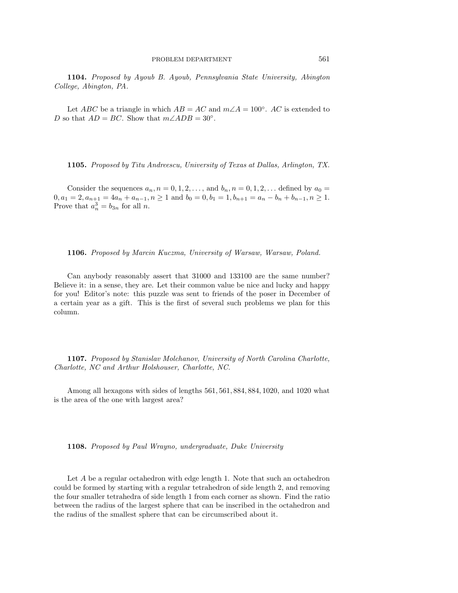1104. Proposed by Ayoub B. Ayoub, Pennsylvania State University, Abington College, Abington, PA.

Let ABC be a triangle in which  $AB = AC$  and  $m\angle A = 100^{\circ}$ . AC is extended to D so that  $AD = BC$ . Show that  $m\angle ADB = 30^{\circ}$ .

1105. Proposed by Titu Andreescu, University of Texas at Dallas, Arlington, TX.

Consider the sequences  $a_n, n = 0, 1, 2, \ldots$ , and  $b_n, n = 0, 1, 2, \ldots$  defined by  $a_0 =$  $0, a_1 = 2, a_{n+1} = 4a_n + a_{n-1}, n \ge 1$  and  $b_0 = 0, b_1 = 1, b_{n+1} = a_n - b_n + b_{n-1}, n \ge 1$ . Prove that  $a_n^3 = b_{3n}$  for all *n*.

1106. Proposed by Marcin Kuczma, University of Warsaw, Warsaw, Poland.

Can anybody reasonably assert that 31000 and 133100 are the same number? Believe it: in a sense, they are. Let their common value be nice and lucky and happy for you! Editor's note: this puzzle was sent to friends of the poser in December of a certain year as a gift. This is the first of several such problems we plan for this column.

1107. Proposed by Stanislav Molchanov, University of North Carolina Charlotte, Charlotte, NC and Arthur Holshouser, Charlotte, NC.

Among all hexagons with sides of lengths 561, 561, 884, 884, 1020, and 1020 what is the area of the one with largest area?

1108. Proposed by Paul Wrayno, undergraduate, Duke University

Let A be a regular octahedron with edge length 1. Note that such an octahedron could be formed by starting with a regular tetrahedron of side length 2, and removing the four smaller tetrahedra of side length 1 from each corner as shown. Find the ratio between the radius of the largest sphere that can be inscribed in the octahedron and the radius of the smallest sphere that can be circumscribed about it.